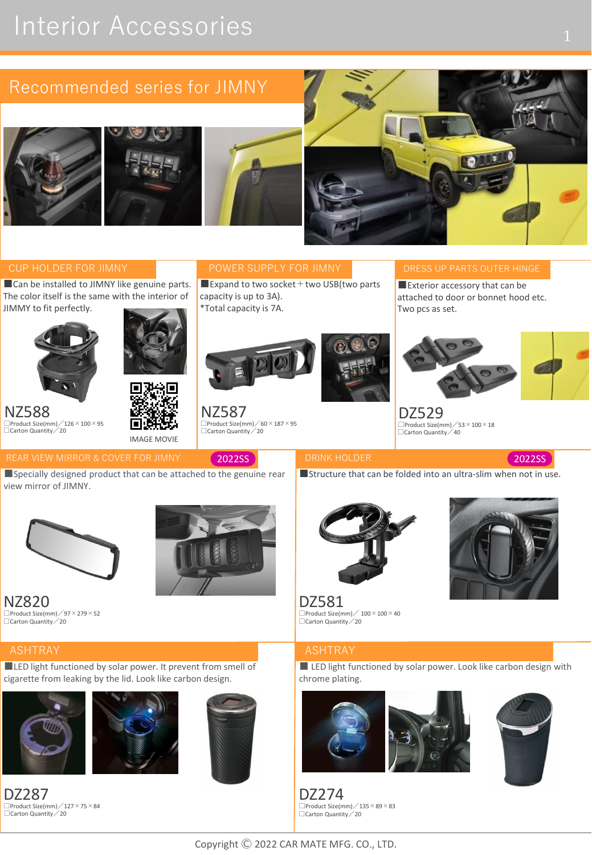# Interior Accessories

## Recommended series for JIMNY









#### CUP HOLDER FOR JIMNY

■ Can be installed to JIMNY like genuine parts. The color itself is the same with the interior of JIMMY to fit perfectly.

REAR VIEW MIRROR & COVER FOR JIMNY



NZ588



IMAGE MOVIE

#### POWER SUPPLY FOR JIMNY

 $\blacksquare$  Expand to two socket + two USB(two parts capacity is up to 3A). \*Total capacity is 7A.



□Product Size(mm)/126×100×95 □Carton Quantity/20 □Carton Quantity/20 □Carton Quantity/40 NZ587 □Product Size(mm)/60×187×95<br>□Carton Quantity/20

2022SS

## DRESS UP PARTS OUTER HINGE

■ Exterior accessory that can be attached to door or bonnet hood etc. Two pcs as set.



DZ529 □Product Size(mm)/53×100×18<br>□Carton Quantity/40

■Specially designed product that can be attached to the genuine rear view mirror of JIMNY.

■LED light functioned by solar power. It prevent from smell of cigarette from leaking by the lid. Look like carbon design.





 $\square$ Product Size(mm) /  $100 \times 100 \times 40$ DZ581 □Carton Quantity / 20

#### ASHTRAY

 $\blacksquare$  LED light functioned by solar power. Look like carbon design with chrome plating.





□Product Size(mm)  $\big/$  135 × 89 × 83 DZ274



#### ■Structure that can be folded into an ultra-slim when not in use. 2022SS

 $\square$ Product Size(mm) / 97  $\times$  279  $\times$  52 NZ820 □Carton Quantity / 20

ASHTRAY

 $\Box$ Product Size(mm) / 127  $\times$  75  $\times$  84

DZ287

□Carton Quantity / 20





DRINK HOLDER